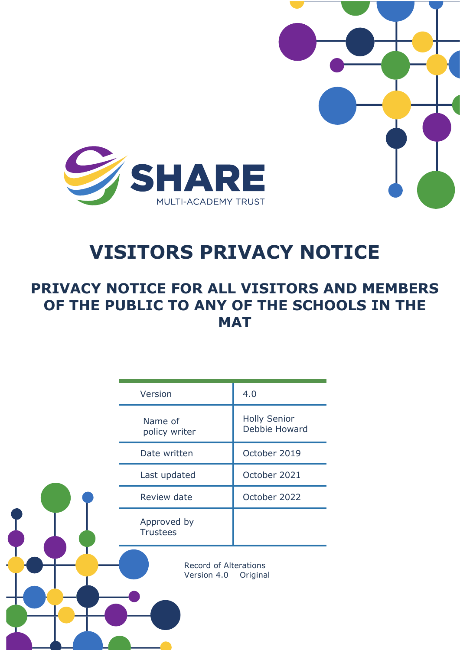

# **VISITORS PRIVACY NOTICE**

# **PRIVACY NOTICE FOR ALL VISITORS AND MEMBERS OF THE PUBLIC TO ANY OF THE SCHOOLS IN THE MAT**

| Version                                                 | 4.0                                  |
|---------------------------------------------------------|--------------------------------------|
| Name of<br>policy writer                                | <b>Holly Senior</b><br>Debbie Howard |
| Date written                                            | October 2019                         |
| Last updated                                            | October 2021                         |
| Review date                                             | October 2022                         |
| Approved by<br><b>Trustees</b>                          |                                      |
| <b>Record of Alterations</b><br>Version 4.0<br>Original |                                      |
|                                                         |                                      |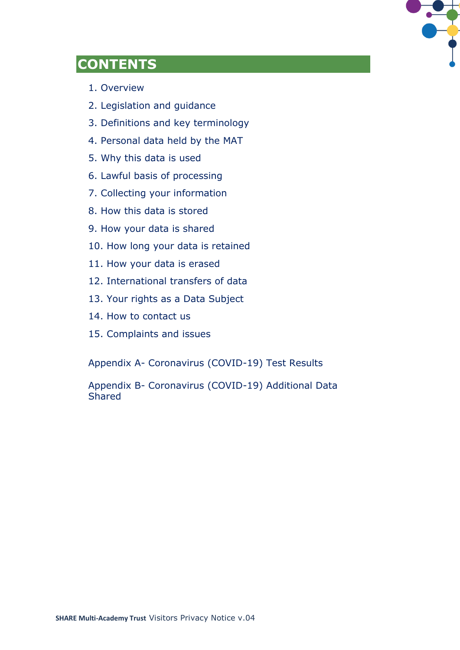

# **CONTENTS**

- 1. Overview
- 2. Legislation and guidance
- 3. Definitions and key terminology
- 4. Personal data held by the MAT
- 5. Why this data is used
- 6. Lawful basis of processing
- 7. Collecting your information
- 8. How this data is stored
- 9. How your data is shared
- 10. How long your data is retained
- 11. How your data is erased
- 12. International transfers of data
- 13. Your rights as a Data Subject
- 14. How to contact us
- 15. Complaints and issues

Appendix A- Coronavirus (COVID-19) Test Results

Appendix B- Coronavirus (COVID-19) Additional Data Shared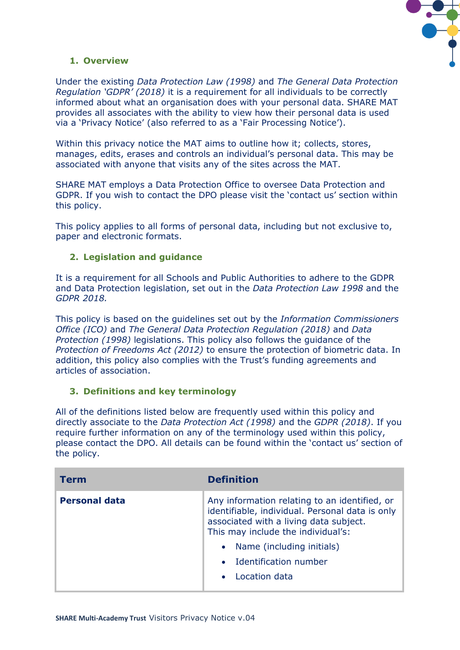

# **1. Overview**

Under the existing *Data Protection Law (1998)* and *The General Data Protection Regulation 'GDPR' (2018)* it is a requirement for all individuals to be correctly informed about what an organisation does with your personal data. SHARE MAT provides all associates with the ability to view how their personal data is used via a 'Privacy Notice' (also referred to as a 'Fair Processing Notice').

Within this privacy notice the MAT aims to outline how it; collects, stores, manages, edits, erases and controls an individual's personal data. This may be associated with anyone that visits any of the sites across the MAT.

SHARE MAT employs a Data Protection Office to oversee Data Protection and GDPR. If you wish to contact the DPO please visit the 'contact us' section within this policy.

This policy applies to all forms of personal data, including but not exclusive to, paper and electronic formats.

# **2. Legislation and guidance**

It is a requirement for all Schools and Public Authorities to adhere to the GDPR and Data Protection legislation, set out in the *Data Protection Law 1998* and the *GDPR 2018.*

This policy is based on the guidelines set out by the *Information Commissioners Office (ICO)* and *The General Data Protection Regulation (2018)* and *Data Protection (1998)* legislations. This policy also follows the guidance of the *Protection of Freedoms Act (2012)* to ensure the protection of biometric data. In addition, this policy also complies with the Trust's funding agreements and articles of association.

# **3. Definitions and key terminology**

All of the definitions listed below are frequently used within this policy and directly associate to the *Data Protection Act (1998)* and the *GDPR (2018)*. If you require further information on any of the terminology used within this policy, please contact the DPO. All details can be found within the 'contact us' section of the policy.

| Term                 | <b>Definition</b>                                                                                                                                                                                                                                         |
|----------------------|-----------------------------------------------------------------------------------------------------------------------------------------------------------------------------------------------------------------------------------------------------------|
| <b>Personal data</b> | Any information relating to an identified, or<br>identifiable, individual. Personal data is only<br>associated with a living data subject.<br>This may include the individual's:<br>Name (including initials)<br>• Identification number<br>Location data |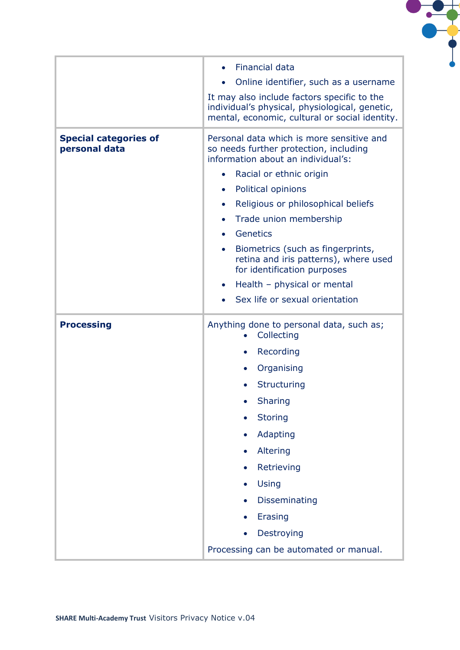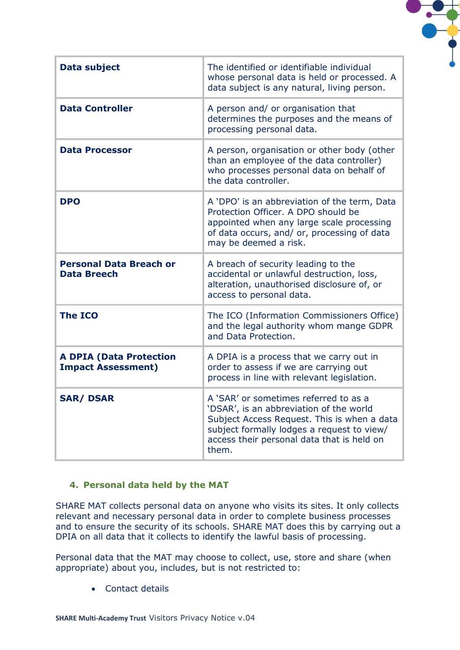| Data subject                                                | The identified or identifiable individual<br>whose personal data is held or processed. A<br>data subject is any natural, living person.                                                                                              |
|-------------------------------------------------------------|--------------------------------------------------------------------------------------------------------------------------------------------------------------------------------------------------------------------------------------|
| <b>Data Controller</b>                                      | A person and/ or organisation that<br>determines the purposes and the means of<br>processing personal data.                                                                                                                          |
| <b>Data Processor</b>                                       | A person, organisation or other body (other<br>than an employee of the data controller)<br>who processes personal data on behalf of<br>the data controller.                                                                          |
| <b>DPO</b>                                                  | A 'DPO' is an abbreviation of the term, Data<br>Protection Officer. A DPO should be<br>appointed when any large scale processing<br>of data occurs, and/ or, processing of data<br>may be deemed a risk.                             |
| <b>Personal Data Breach or</b><br><b>Data Breech</b>        | A breach of security leading to the<br>accidental or unlawful destruction, loss,<br>alteration, unauthorised disclosure of, or<br>access to personal data.                                                                           |
| <b>The ICO</b>                                              | The ICO (Information Commissioners Office)<br>and the legal authority whom mange GDPR<br>and Data Protection.                                                                                                                        |
| <b>A DPIA (Data Protection</b><br><b>Impact Assessment)</b> | A DPIA is a process that we carry out in<br>order to assess if we are carrying out<br>process in line with relevant legislation.                                                                                                     |
| <b>SAR/DSAR</b>                                             | A 'SAR' or sometimes referred to as a<br>'DSAR', is an abbreviation of the world<br>Subject Access Request. This is when a data<br>subject formally lodges a request to view/<br>access their personal data that is held on<br>them. |

#### **4. Personal data held by the MAT**

SHARE MAT collects personal data on anyone who visits its sites. It only collects relevant and necessary personal data in order to complete business processes and to ensure the security of its schools. SHARE MAT does this by carrying out a DPIA on all data that it collects to identify the lawful basis of processing.

Personal data that the MAT may choose to collect, use, store and share (when appropriate) about you, includes, but is not restricted to:

• Contact details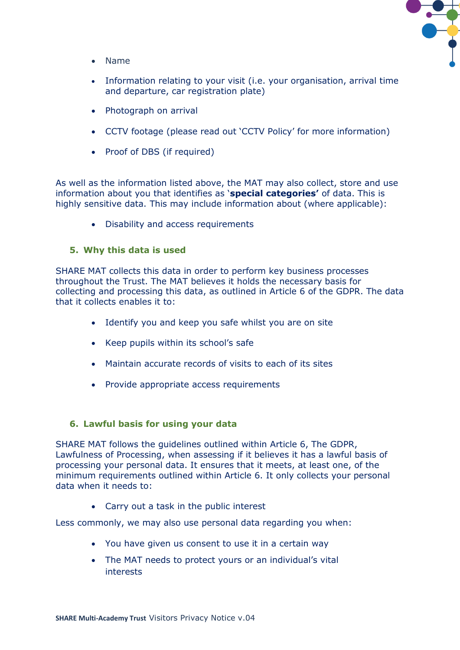![](_page_5_Picture_0.jpeg)

- Name
- Information relating to your visit (i.e. your organisation, arrival time and departure, car registration plate)
- Photograph on arrival
- CCTV footage (please read out 'CCTV Policy' for more information)
- Proof of DBS (if required)

As well as the information listed above, the MAT may also collect, store and use information about you that identifies as '**special categories'** of data. This is highly sensitive data. This may include information about (where applicable):

• Disability and access requirements

#### **5. Why this data is used**

SHARE MAT collects this data in order to perform key business processes throughout the Trust. The MAT believes it holds the necessary basis for collecting and processing this data, as outlined in Article 6 of the GDPR. The data that it collects enables it to:

- Identify you and keep you safe whilst you are on site
- Keep pupils within its school's safe
- Maintain accurate records of visits to each of its sites
- Provide appropriate access requirements

#### **6. Lawful basis for using your data**

SHARE MAT follows the guidelines outlined within Article 6, The GDPR, Lawfulness of Processing, when assessing if it believes it has a lawful basis of processing your personal data. It ensures that it meets, at least one, of the minimum requirements outlined within Article 6. It only collects your personal data when it needs to:

• Carry out a task in the public interest

Less commonly, we may also use personal data regarding you when:

- You have given us consent to use it in a certain way
- The MAT needs to protect yours or an individual's vital interests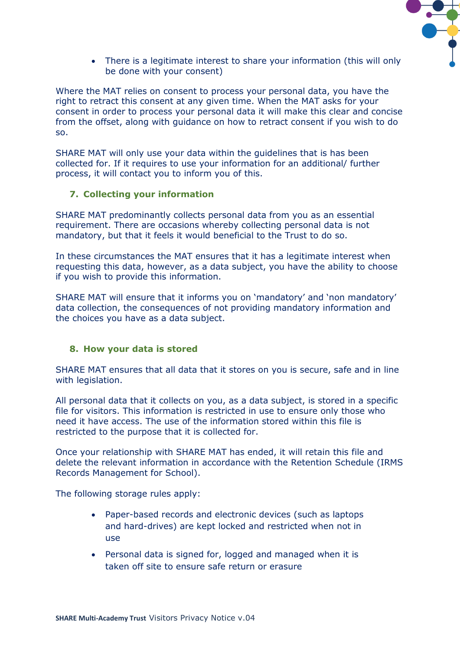![](_page_6_Picture_0.jpeg)

• There is a legitimate interest to share your information (this will only be done with your consent)

Where the MAT relies on consent to process your personal data, you have the right to retract this consent at any given time. When the MAT asks for your consent in order to process your personal data it will make this clear and concise from the offset, along with guidance on how to retract consent if you wish to do so.

SHARE MAT will only use your data within the guidelines that is has been collected for. If it requires to use your information for an additional/ further process, it will contact you to inform you of this.

#### **7. Collecting your information**

SHARE MAT predominantly collects personal data from you as an essential requirement. There are occasions whereby collecting personal data is not mandatory, but that it feels it would beneficial to the Trust to do so.

In these circumstances the MAT ensures that it has a legitimate interest when requesting this data, however, as a data subject, you have the ability to choose if you wish to provide this information.

SHARE MAT will ensure that it informs you on 'mandatory' and 'non mandatory' data collection, the consequences of not providing mandatory information and the choices you have as a data subject.

# **8. How your data is stored**

SHARE MAT ensures that all data that it stores on you is secure, safe and in line with legislation.

All personal data that it collects on you, as a data subject, is stored in a specific file for visitors. This information is restricted in use to ensure only those who need it have access. The use of the information stored within this file is restricted to the purpose that it is collected for.

Once your relationship with SHARE MAT has ended, it will retain this file and delete the relevant information in accordance with the Retention Schedule (IRMS Records Management for School).

The following storage rules apply:

- Paper-based records and electronic devices (such as laptops and hard-drives) are kept locked and restricted when not in use
- Personal data is signed for, logged and managed when it is taken off site to ensure safe return or erasure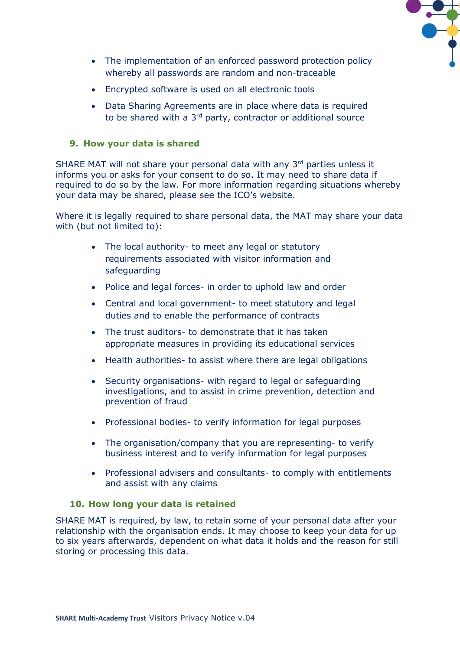![](_page_7_Picture_0.jpeg)

- The implementation of an enforced password protection policy whereby all passwords are random and non-traceable
- Encrypted software is used on all electronic tools
- Data Sharing Agreements are in place where data is required to be shared with a 3<sup>rd</sup> party, contractor or additional source

#### **9. How your data is shared**

SHARE MAT will not share your personal data with any 3<sup>rd</sup> parties unless it informs you or asks for your consent to do so. It may need to share data if required to do so by the law. For more information regarding situations whereby your data may be shared, please see the ICO's website.

Where it is legally required to share personal data, the MAT may share your data with (but not limited to):

- The local authority- to meet any legal or statutory requirements associated with visitor information and safeguarding
- Police and legal forces- in order to uphold law and order
- Central and local government- to meet statutory and legal duties and to enable the performance of contracts
- The trust auditors- to demonstrate that it has taken appropriate measures in providing its educational services
- Health authorities- to assist where there are legal obligations
- Security organisations- with regard to legal or safeguarding investigations, and to assist in crime prevention, detection and prevention of fraud
- Professional bodies- to verify information for legal purposes
- The organisation/company that you are representing- to verify business interest and to verify information for legal purposes
- Professional advisers and consultants- to comply with entitlements and assist with any claims

#### **10. How long your data is retained**

SHARE MAT is required, by law, to retain some of your personal data after your relationship with the organisation ends. It may choose to keep your data for up to six years afterwards, dependent on what data it holds and the reason for still storing or processing this data.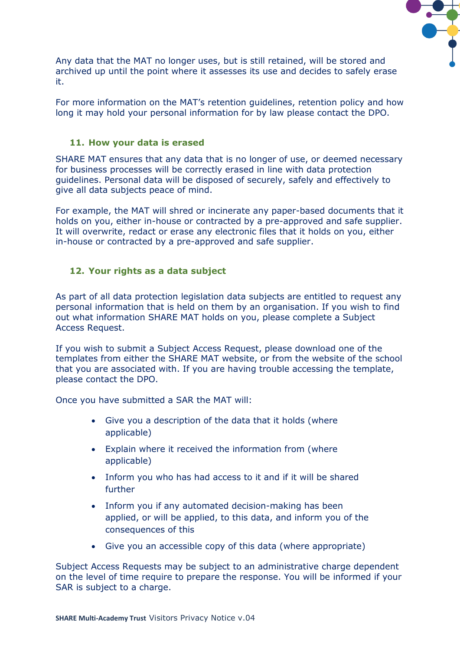![](_page_8_Picture_0.jpeg)

Any data that the MAT no longer uses, but is still retained, will be stored and archived up until the point where it assesses its use and decides to safely erase it.

For more information on the MAT's retention guidelines, retention policy and how long it may hold your personal information for by law please contact the DPO.

#### **11. How your data is erased**

SHARE MAT ensures that any data that is no longer of use, or deemed necessary for business processes will be correctly erased in line with data protection guidelines. Personal data will be disposed of securely, safely and effectively to give all data subjects peace of mind.

For example, the MAT will shred or incinerate any paper-based documents that it holds on you, either in-house or contracted by a pre-approved and safe supplier. It will overwrite, redact or erase any electronic files that it holds on you, either in-house or contracted by a pre-approved and safe supplier.

#### **12. Your rights as a data subject**

As part of all data protection legislation data subjects are entitled to request any personal information that is held on them by an organisation. If you wish to find out what information SHARE MAT holds on you, please complete a Subject Access Request.

If you wish to submit a Subject Access Request, please download one of the templates from either the SHARE MAT website, or from the website of the school that you are associated with. If you are having trouble accessing the template, please contact the DPO.

Once you have submitted a SAR the MAT will:

- Give you a description of the data that it holds (where applicable)
- Explain where it received the information from (where applicable)
- Inform you who has had access to it and if it will be shared further
- Inform you if any automated decision-making has been applied, or will be applied, to this data, and inform you of the consequences of this
- Give you an accessible copy of this data (where appropriate)

Subject Access Requests may be subject to an administrative charge dependent on the level of time require to prepare the response. You will be informed if your SAR is subject to a charge.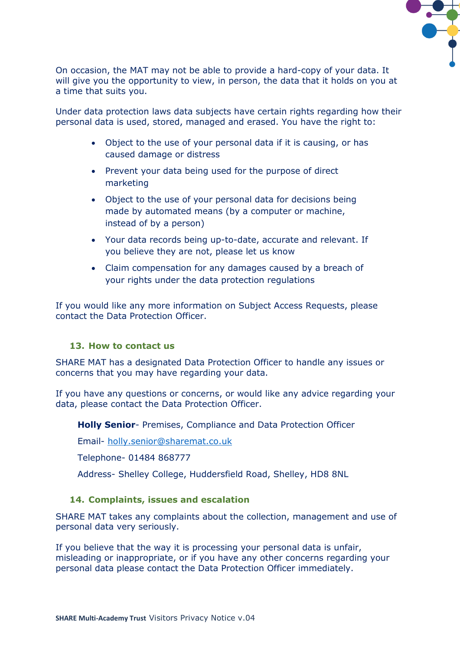![](_page_9_Picture_0.jpeg)

On occasion, the MAT may not be able to provide a hard-copy of your data. It will give you the opportunity to view, in person, the data that it holds on you at a time that suits you.

Under data protection laws data subjects have certain rights regarding how their personal data is used, stored, managed and erased. You have the right to:

- Object to the use of your personal data if it is causing, or has caused damage or distress
- Prevent your data being used for the purpose of direct marketing
- Object to the use of your personal data for decisions being made by automated means (by a computer or machine, instead of by a person)
- Your data records being up-to-date, accurate and relevant. If you believe they are not, please let us know
- Claim compensation for any damages caused by a breach of your rights under the data protection regulations

If you would like any more information on Subject Access Requests, please contact the Data Protection Officer.

#### **13. How to contact us**

SHARE MAT has a designated Data Protection Officer to handle any issues or concerns that you may have regarding your data.

If you have any questions or concerns, or would like any advice regarding your data, please contact the Data Protection Officer.

**Holly Senior**- Premises, Compliance and Data Protection Officer

Email- [holly.senior@sharemat.co.uk](mailto:holly.senior@sharemat.co.uk)

Telephone- 01484 868777

Address- Shelley College, Huddersfield Road, Shelley, HD8 8NL

#### **14. Complaints, issues and escalation**

SHARE MAT takes any complaints about the collection, management and use of personal data very seriously.

If you believe that the way it is processing your personal data is unfair, misleading or inappropriate, or if you have any other concerns regarding your personal data please contact the Data Protection Officer immediately.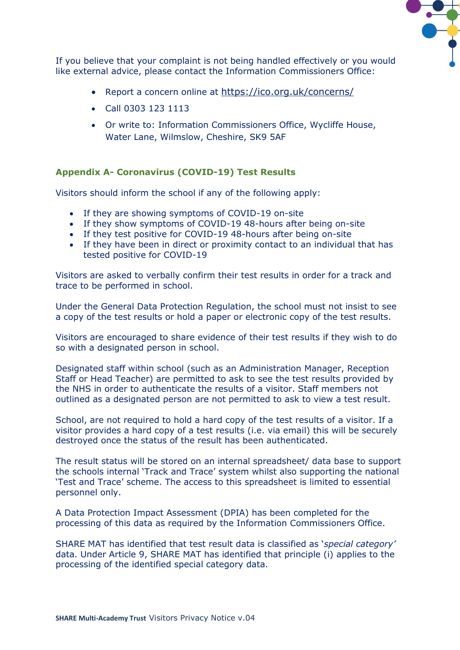![](_page_10_Picture_0.jpeg)

If you believe that your complaint is not being handled effectively or you would like external advice, please contact the Information Commissioners Office:

- Report a concern online at <https://ico.org.uk/concerns/>
- Call 0303 123 1113
- Or write to: Information Commissioners Office, Wycliffe House, Water Lane, Wilmslow, Cheshire, SK9 5AF

# **Appendix A- Coronavirus (COVID-19) Test Results**

Visitors should inform the school if any of the following apply:

- If they are showing symptoms of COVID-19 on-site
- If they show symptoms of COVID-19 48-hours after being on-site
- If they test positive for COVID-19 48-hours after being on-site
- If they have been in direct or proximity contact to an individual that has tested positive for COVID-19

Visitors are asked to verbally confirm their test results in order for a track and trace to be performed in school.

Under the General Data Protection Regulation, the school must not insist to see a copy of the test results or hold a paper or electronic copy of the test results.

Visitors are encouraged to share evidence of their test results if they wish to do so with a designated person in school.

Designated staff within school (such as an Administration Manager, Reception Staff or Head Teacher) are permitted to ask to see the test results provided by the NHS in order to authenticate the results of a visitor. Staff members not outlined as a designated person are not permitted to ask to view a test result.

School, are not required to hold a hard copy of the test results of a visitor. If a visitor provides a hard copy of a test results (i.e. via email) this will be securely destroyed once the status of the result has been authenticated.

The result status will be stored on an internal spreadsheet/ data base to support the schools internal 'Track and Trace' system whilst also supporting the national 'Test and Trace' scheme. The access to this spreadsheet is limited to essential personnel only.

A Data Protection Impact Assessment (DPIA) has been completed for the processing of this data as required by the Information Commissioners Office.

SHARE MAT has identified that test result data is classified as '*special category'* data. Under Article 9, SHARE MAT has identified that principle (i) applies to the processing of the identified special category data.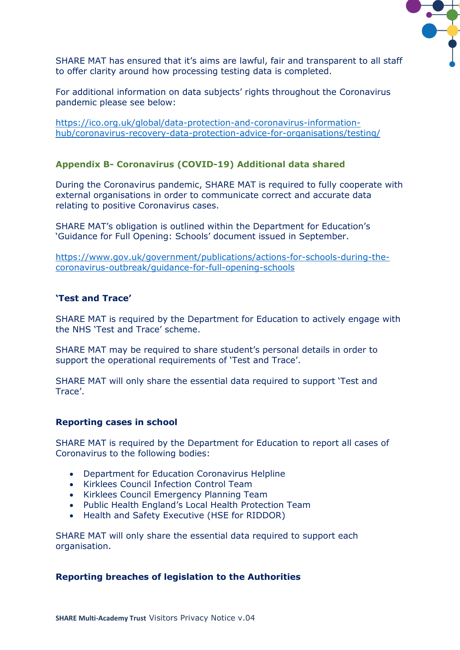![](_page_11_Picture_0.jpeg)

SHARE MAT has ensured that it's aims are lawful, fair and transparent to all staff to offer clarity around how processing testing data is completed.

For additional information on data subjects' rights throughout the Coronavirus pandemic please see below:

[https://ico.org.uk/global/data-protection-and-coronavirus-information](https://ico.org.uk/global/data-protection-and-coronavirus-information-hub/coronavirus-recovery-data-protection-advice-for-organisations/testing/)[hub/coronavirus-recovery-data-protection-advice-for-organisations/testing/](https://ico.org.uk/global/data-protection-and-coronavirus-information-hub/coronavirus-recovery-data-protection-advice-for-organisations/testing/)

# **Appendix B- Coronavirus (COVID-19) Additional data shared**

During the Coronavirus pandemic, SHARE MAT is required to fully cooperate with external organisations in order to communicate correct and accurate data relating to positive Coronavirus cases.

SHARE MAT's obligation is outlined within the Department for Education's 'Guidance for Full Opening: Schools' document issued in September.

[https://www.gov.uk/government/publications/actions-for-schools-during-the](https://www.gov.uk/government/publications/actions-for-schools-during-the-coronavirus-outbreak/guidance-for-full-opening-schools)[coronavirus-outbreak/guidance-for-full-opening-schools](https://www.gov.uk/government/publications/actions-for-schools-during-the-coronavirus-outbreak/guidance-for-full-opening-schools)

#### **'Test and Trace'**

SHARE MAT is required by the Department for Education to actively engage with the NHS 'Test and Trace' scheme.

SHARE MAT may be required to share student's personal details in order to support the operational requirements of 'Test and Trace'.

SHARE MAT will only share the essential data required to support 'Test and Trace'.

#### **Reporting cases in school**

SHARE MAT is required by the Department for Education to report all cases of Coronavirus to the following bodies:

- Department for Education Coronavirus Helpline
- Kirklees Council Infection Control Team
- Kirklees Council Emergency Planning Team
- Public Health England's Local Health Protection Team
- Health and Safety Executive (HSE for RIDDOR)

SHARE MAT will only share the essential data required to support each organisation.

#### **Reporting breaches of legislation to the Authorities**